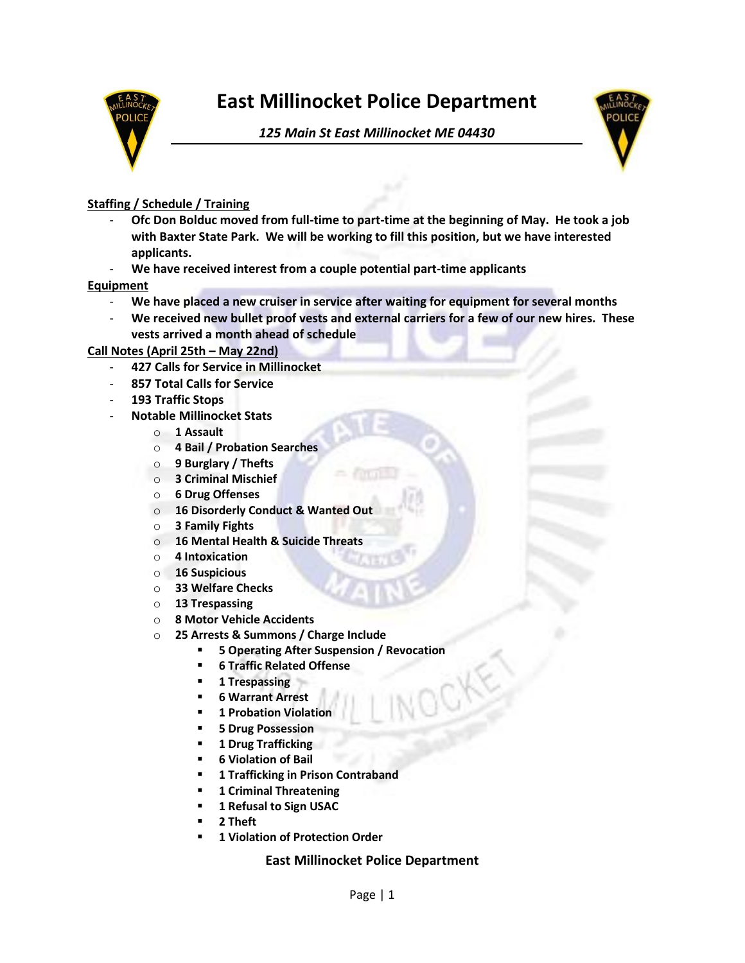

# **East Millinocket Police Department**

*125 Main St East Millinocket ME 04430*



# **Staffing / Schedule / Training**

- **Ofc Don Bolduc moved from full-time to part-time at the beginning of May. He took a job with Baxter State Park. We will be working to fill this position, but we have interested applicants.**
- **We have received interest from a couple potential part-time applicants**

### **Equipment**

- **We have placed a new cruiser in service after waiting for equipment for several months**
- **We received new bullet proof vests and external carriers for a few of our new hires. These vests arrived a month ahead of schedule**

## **Call Notes (April 25th – May 22nd)**

- **427 Calls for Service in Millinocket**
- **857 Total Calls for Service**
- **193 Traffic Stops**
- **Notable Millinocket Stats**
	- o **1 Assault**
	- o **4 Bail / Probation Searches**
	- o **9 Burglary / Thefts**
	- o **3 Criminal Mischief**
	- o **6 Drug Offenses**
	- o **16 Disorderly Conduct & Wanted Out**
	- o **3 Family Fights**
	- o **16 Mental Health & Suicide Threats**
	- o **4 Intoxication**
	- o **16 Suspicious**
	- o **33 Welfare Checks**
	- o **13 Trespassing**
	- o **8 Motor Vehicle Accidents**
	- o **25 Arrests & Summons / Charge Include**
		- **5 Operating After Suspension / Revocation**
		- **6 Traffic Related Offense**
		- 1 Trespassing
		- **6 Warrant Arrest**
		- **1 Probation Violation**
		- **5 Drug Possession**
		- **1 Drug Trafficking**
		- **6 Violation of Bail**
		- **1 Trafficking in Prison Contraband**
		- **1 Criminal Threatening**
		- **1 Refusal to Sign USAC**
		- **2 Theft**
		- **1 Violation of Protection Order**

## **East Millinocket Police Department**